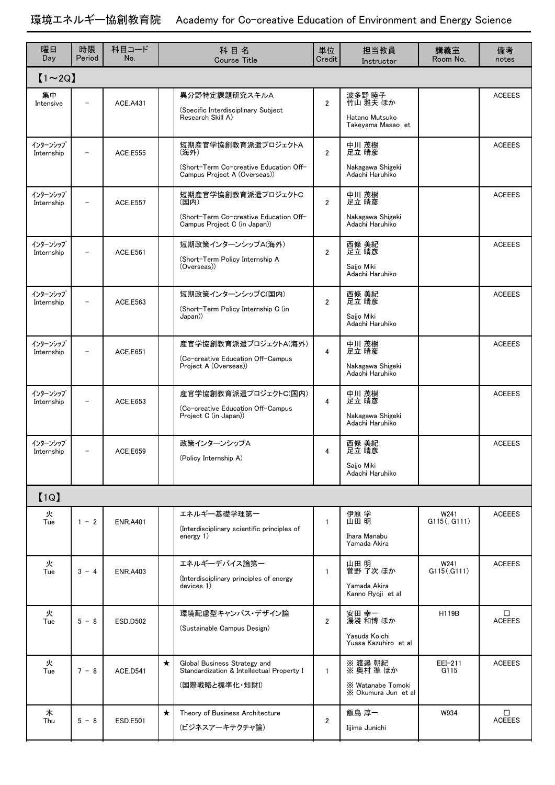## 環境エネルギー協創教育院 Academy for Co-creative Education of Environment and Energy Science

| 曜日<br>Day              | 時限<br>Period             | 科目コード<br>No.    | 科目名<br><b>Course Title</b>                                                                             | 単位<br>Credit   | 担当教員<br>Instructor                                               | 講義室<br>Room No.      | 備考<br>notes        |  |  |  |  |  |  |
|------------------------|--------------------------|-----------------|--------------------------------------------------------------------------------------------------------|----------------|------------------------------------------------------------------|----------------------|--------------------|--|--|--|--|--|--|
| $[1 \sim 2Q]$          |                          |                 |                                                                                                        |                |                                                                  |                      |                    |  |  |  |  |  |  |
| 集中<br>Intensive        |                          | <b>ACE.A431</b> | 異分野特定課題研究スキルA<br>(Specific Interdisciplinary Subject<br>Research Skill A)                              | $\overline{2}$ | 波多野 睦子<br>竹山 雅夫 ほか<br>Hatano Mutsuko<br>Takeyama Masao et        |                      | <b>ACEEES</b>      |  |  |  |  |  |  |
| インターンシップ<br>Internship | $\overline{\phantom{0}}$ | <b>ACF F555</b> | 短期産官学協創教育派遣プロジェクトA<br>(海外)<br>(Short-Term Co-creative Education Off-<br>Campus Project A (Overseas))   | $\overline{2}$ | 中川 茂樹<br>足立 晴彦<br>Nakagawa Shigeki<br>Adachi Haruhiko            |                      | <b>ACEEES</b>      |  |  |  |  |  |  |
| インターンシップ<br>Internship | $\overline{a}$           | <b>ACE.E557</b> | 短期産官学協創教育派遣プロジェクトC<br>(国内)<br>(Short-Term Co-creative Education Off-<br>Campus Project C (in Japan))   | $\overline{2}$ | 中川 茂樹<br>足立 晴彦<br>Nakagawa Shigeki<br>Adachi Haruhiko            |                      | <b>ACEEES</b>      |  |  |  |  |  |  |
| インターンシップ<br>Internship |                          | ACE.E561        | 短期政策インターンシップA(海外)<br>(Short-Term Policy Internship A<br>(Overseas))                                    | $\overline{2}$ | 西條 美紀<br>足立 晴彦<br>Saijo Miki<br>Adachi Haruhiko                  |                      | <b>ACEEES</b>      |  |  |  |  |  |  |
| インターンシップ<br>Internship |                          | ACE.E563        | 短期政策インターンシップC(国内)<br>(Short-Term Policy Internship C (in<br>Japan))                                    | $\overline{2}$ | 西條 美紀<br>足立 晴彦<br>Saijo Miki<br>Adachi Haruhiko                  |                      | <b>ACEEES</b>      |  |  |  |  |  |  |
| インターンシップ<br>Internship |                          | ACE.E651        | 産官学協創教育派遣プロジェクトA(海外)<br>(Co-creative Education Off-Campus<br>Project A (Overseas))                     | 4              | 中川 茂樹<br>足立 晴彦<br>Nakagawa Shigeki<br>Adachi Haruhiko            |                      | <b>ACEEES</b>      |  |  |  |  |  |  |
| インターンシップ<br>Internship |                          | ACE.E653        | 産官学協創教育派遣プロジェクトC(国内)<br>(Co-creative Education Off-Campus<br>Project C (in Japan))                     | 4              | 中川 茂樹<br>足立 晴彦<br>Nakagawa Shigeki<br>Adachi Haruhiko            |                      | <b>ACEEES</b>      |  |  |  |  |  |  |
| インターンシップ<br>Internship |                          | ACE.E659        | 政策インターンシップA<br>(Policy Internship A)                                                                   | 4              | 西條 美紀<br>足立 晴彦<br>Saijo Miki<br>Adachi Haruhiko                  |                      | <b>ACEEES</b>      |  |  |  |  |  |  |
| [1Q]                   |                          |                 |                                                                                                        |                |                                                                  |                      |                    |  |  |  |  |  |  |
| 火<br>Tue               | $1 - 2$                  | <b>ENR.A401</b> | エネルギー基礎学理第一<br>(Interdisciplinary scientific principles of<br>energy $1$ )                             | 1              | 伊原 学<br>山田 明<br>Ihara Manabu<br>Yamada Akira                     | W241<br>G115(, G111) | <b>ACEEES</b>      |  |  |  |  |  |  |
| 火<br>Tue               | $3 - 4$                  | <b>ENR.A403</b> | エネルギーデバイス論第一<br>(Interdisciplinary principles of energy<br>devices 1)                                  | 1              | 山田 明<br>菅野 了次 ほか<br>Yamada Akira<br>Kanno Ryoji et al            | W241<br>G115(,G111)  | <b>ACEEES</b>      |  |  |  |  |  |  |
| 火<br>Tue               | $5 - 8$                  | <b>ESD.D502</b> | 環境配慮型キャンパス・デザイン論<br>(Sustainable Campus Design)                                                        | $\overline{2}$ | 安田 幸一<br>湯淺 和博 ほか<br>Yasuda Koichi<br>Yuasa Kazuhiro et al       | H119B                | □<br><b>ACEEES</b> |  |  |  |  |  |  |
| 火<br>Tue               | $7 - 8$                  | <b>ACE.D541</b> | $\star$<br>Global Business Strategy and<br>Standardization & Intellectual Property I<br>(国際戦略と標準化・知財1) | $\mathbf{1}$   | ※ 渡邉 朝紀<br>※ 奥村 準 ほか<br>X Watanabe Tomoki<br>X Okumura Jun et al | EEI-211<br>G115      | <b>ACEEES</b>      |  |  |  |  |  |  |
| 木<br>Thu               | $5 - 8$                  | <b>ESD.E501</b> | $\star$<br>Theory of Business Architecture<br>(ビジネスアーキテクチャ論)                                           | $\overline{2}$ | 飯島 淳一<br>Iijima Junichi                                          | W934                 | □<br><b>ACEEES</b> |  |  |  |  |  |  |